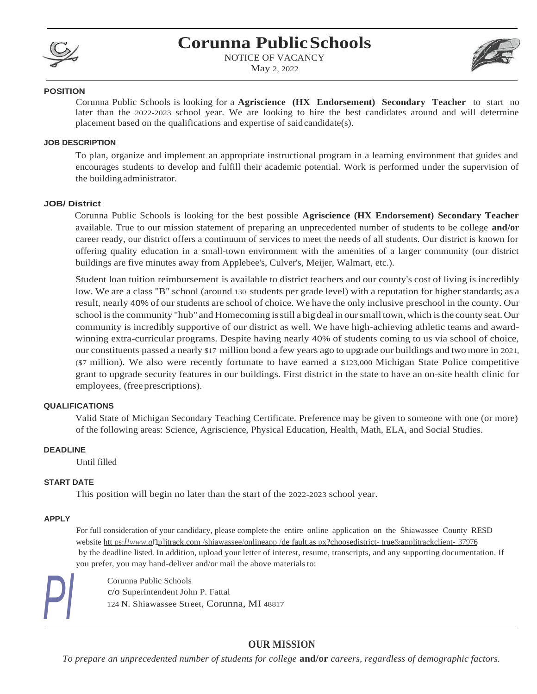

## **Corunna PublicSchools**

NOTICE OF VACANCY May 2, 2022



#### **POSITION**

Corunna Public Schools is looking for a **Agriscience (HX Endorsement) Secondary Teacher** to start no later than the 2022-2023 school year. We are looking to hire the best candidates around and will determine placement based on the qualifications and expertise of saidcandidate(s).

#### **JOB DESCRIPTION**

To plan, organize and implement an appropriate instructional program in a learning environment that guides and encourages students to develop and fulfill their academic potential. Work is performed under the supervision of the building administrator.

#### **JOB/ District**

Corunna Public Schools is looking for the best possible **Agriscience (HX Endorsement) Secondary Teacher**  available. True to our mission statement of preparing an unprecedented number of students to be college **and/or**  career ready, our district offers a continuum of services to meet the needs of all students. Our district is known for offering quality education in a small-town environment with the amenities of a larger community (our district buildings are five minutes away from Applebee's, Culver's, Meijer, Walmart, etc.).

Student loan tuition reimbursement is available to district teachers and our county's cost of living is incredibly low. We are a class "B" school (around 130 students per grade level) with a reputation for higher standards; as a result, nearly 40% of ourstudents are school of choice. We have the only inclusive preschool in the county. Our school isthe community "hub" and Homecoming isstill a big deal in oursmall town, which isthe county seat.Our community is incredibly supportive of our district as well. We have high-achieving athletic teams and awardwinning extra-curricular programs. Despite having nearly 40% of students coming to us via school of choice, our constituents passed a nearly \$17 million bond a few years ago to upgrade our buildings and two more in 2021, (\$7 million). We also were recently fortunate to have earned a \$123,000 Michigan State Police competitive grant to upgrade security features in our buildings. First district in the state to have an on-site health clinic for employees, (freeprescriptions).

#### **QUALIFICATIONS**

Valid State of Michigan Secondary Teaching Certificate. Preference may be given to someone with one (or more) of the following areas: Science, Agriscience, Physical Education, Health, Math, ELA, and Social Studies.

#### **DEADLINE**

Until filled

#### **START DATE**

This position will begin no later than the start of the 2022-2023 school year.

#### **APPLY**

For full consideration of your candidacy, please complete the entire online application on the Shiawassee County RESD website htt ps:*I!www.a*np]jtrack.com /shiawassee/onlineapp /de fault.as px?choosedistrict- true&applitrackclient- 37976 by the deadline listed. In addition, upload your letter of interest, resume, transcripts, and any supporting documentation. If you prefer, you may hand-deliver and/or mail the above materials to:

Corunna Public Schools c/o Superintendent John P. Fattal<br>124 N. Shiawassee Street, Corunna, MI 48817

### **OUR MISSION**

*To prepare an unprecedented number of students for college* **and/or** *careers, regardless of demographic factors.*